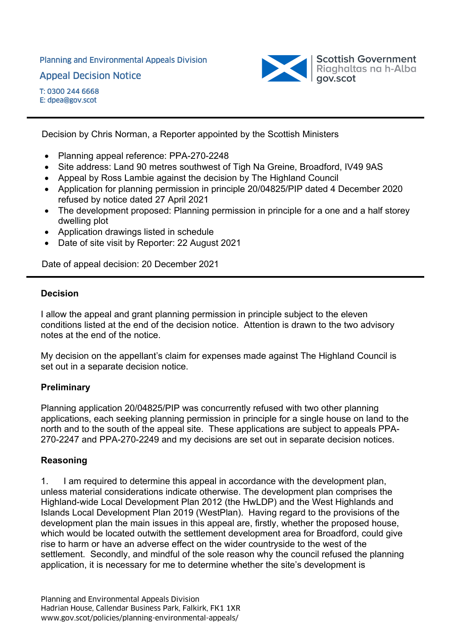Planning and Environmental Appeals Division Appeal Decision Notice



Decision by Chris Norman, a Reporter appointed by the Scottish Ministers

- Planning appeal reference: PPA-270-2248
- Site address: Land 90 metres southwest of Tigh Na Greine, Broadford, IV49 9AS
- Appeal by Ross Lambie against the decision by The Highland Council
- Application for planning permission in principle 20/04825/PIP dated 4 December 2020 refused by notice dated 27 April 2021
- The development proposed: Planning permission in principle for a one and a half storey dwelling plot
- Application drawings listed in schedule
- Date of site visit by Reporter: 22 August 2021

Date of appeal decision: 20 December 2021

#### **Decision**

I allow the appeal and grant planning permission in principle subject to the eleven conditions listed at the end of the decision notice. Attention is drawn to the two advisory notes at the end of the notice.

My decision on the appellant's claim for expenses made against The Highland Council is set out in a separate decision notice.

### **Preliminary**

Planning application 20/04825/PIP was concurrently refused with two other planning applications, each seeking planning permission in principle for a single house on land to the north and to the south of the appeal site. These applications are subject to appeals PPA-270-2247 and PPA-270-2249 and my decisions are set out in separate decision notices.

### **Reasoning**

1. I am required to determine this appeal in accordance with the development plan, unless material considerations indicate otherwise. The development plan comprises the Highland-wide Local Development Plan 2012 (the HwLDP) and the West Highlands and Islands Local Development Plan 2019 (WestPlan). Having regard to the provisions of the development plan the main issues in this appeal are, firstly, whether the proposed house, which would be located outwith the settlement development area for Broadford, could give rise to harm or have an adverse effect on the wider countryside to the west of the settlement. Secondly, and mindful of the sole reason why the council refused the planning application, it is necessary for me to determine whether the site's development is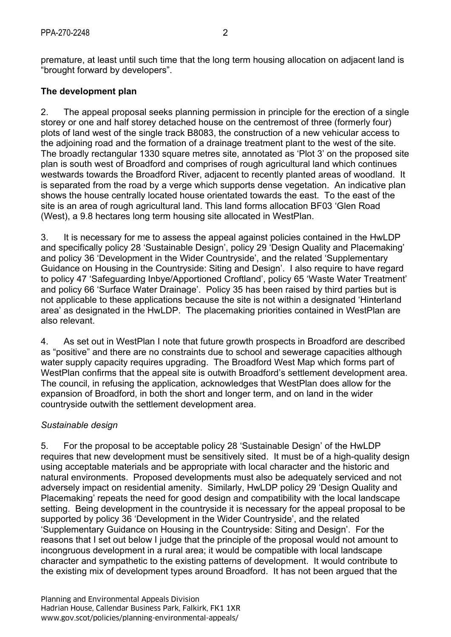premature, at least until such time that the long term housing allocation on adjacent land is "brought forward by developers".

## **The development plan**

2. The appeal proposal seeks planning permission in principle for the erection of a single storey or one and half storey detached house on the centremost of three (formerly four) plots of land west of the single track B8083, the construction of a new vehicular access to the adjoining road and the formation of a drainage treatment plant to the west of the site. The broadly rectangular 1330 square metres site, annotated as 'Plot 3' on the proposed site plan is south west of Broadford and comprises of rough agricultural land which continues westwards towards the Broadford River, adjacent to recently planted areas of woodland. It is separated from the road by a verge which supports dense vegetation. An indicative plan shows the house centrally located house orientated towards the east. To the east of the site is an area of rough agricultural land. This land forms allocation BF03 'Glen Road (West), a 9.8 hectares long term housing site allocated in WestPlan.

3. It is necessary for me to assess the appeal against policies contained in the HwLDP and specifically policy 28 'Sustainable Design', policy 29 'Design Quality and Placemaking' and policy 36 'Development in the Wider Countryside', and the related 'Supplementary Guidance on Housing in the Countryside: Siting and Design'. I also require to have regard to policy 47 'Safeguarding Inbye/Apportioned Croftland', policy 65 'Waste Water Treatment' and policy 66 'Surface Water Drainage'. Policy 35 has been raised by third parties but is not applicable to these applications because the site is not within a designated 'Hinterland area' as designated in the HwLDP. The placemaking priorities contained in WestPlan are also relevant.

4. As set out in WestPlan I note that future growth prospects in Broadford are described as "positive" and there are no constraints due to school and sewerage capacities although water supply capacity requires upgrading. The Broadford West Map which forms part of WestPlan confirms that the appeal site is outwith Broadford's settlement development area. The council, in refusing the application, acknowledges that WestPlan does allow for the expansion of Broadford, in both the short and longer term, and on land in the wider countryside outwith the settlement development area.

### *Sustainable design*

5. For the proposal to be acceptable policy 28 'Sustainable Design' of the HwLDP requires that new development must be sensitively sited. It must be of a high-quality design using acceptable materials and be appropriate with local character and the historic and natural environments. Proposed developments must also be adequately serviced and not adversely impact on residential amenity. Similarly, HwLDP policy 29 'Design Quality and Placemaking' repeats the need for good design and compatibility with the local landscape setting. Being development in the countryside it is necessary for the appeal proposal to be supported by policy 36 'Development in the Wider Countryside', and the related 'Supplementary Guidance on Housing in the Countryside: Siting and Design'. For the reasons that I set out below I judge that the principle of the proposal would not amount to incongruous development in a rural area; it would be compatible with local landscape character and sympathetic to the existing patterns of development. It would contribute to the existing mix of development types around Broadford. It has not been argued that the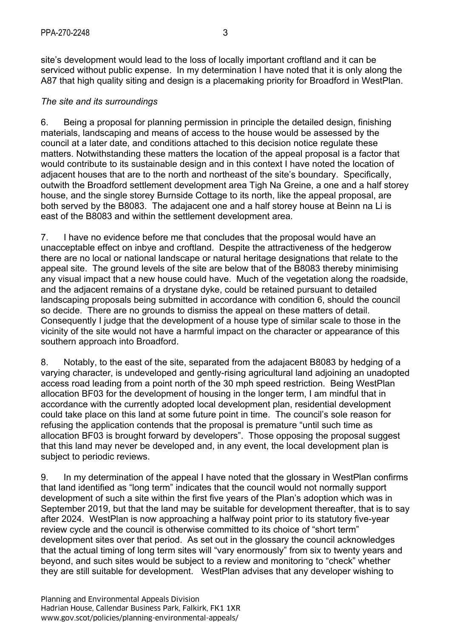site's development would lead to the loss of locally important croftland and it can be serviced without public expense. In my determination I have noted that it is only along the A87 that high quality siting and design is a placemaking priority for Broadford in WestPlan.

#### *The site and its surroundings*

6. Being a proposal for planning permission in principle the detailed design, finishing materials, landscaping and means of access to the house would be assessed by the council at a later date, and conditions attached to this decision notice regulate these matters. Notwithstanding these matters the location of the appeal proposal is a factor that would contribute to its sustainable design and in this context I have noted the location of adjacent houses that are to the north and northeast of the site's boundary. Specifically, outwith the Broadford settlement development area Tigh Na Greine, a one and a half storey house, and the single storey Burnside Cottage to its north, like the appeal proposal, are both served by the B8083. The adajacent one and a half storey house at Beinn na Li is east of the B8083 and within the settlement development area.

7. I have no evidence before me that concludes that the proposal would have an unacceptable effect on inbye and croftland. Despite the attractiveness of the hedgerow there are no local or national landscape or natural heritage designations that relate to the appeal site. The ground levels of the site are below that of the B8083 thereby minimising any visual impact that a new house could have. Much of the vegetation along the roadside, and the adjacent remains of a drystane dyke, could be retained pursuant to detailed landscaping proposals being submitted in accordance with condition 6, should the council so decide. There are no grounds to dismiss the appeal on these matters of detail. Consequently I judge that the development of a house type of similar scale to those in the vicinity of the site would not have a harmful impact on the character or appearance of this southern approach into Broadford.

8. Notably, to the east of the site, separated from the adajacent B8083 by hedging of a varying character, is undeveloped and gently-rising agricultural land adjoining an unadopted access road leading from a point north of the 30 mph speed restriction. Being WestPlan allocation BF03 for the development of housing in the longer term, I am mindful that in accordance with the currently adopted local development plan, residential development could take place on this land at some future point in time. The council's sole reason for refusing the application contends that the proposal is premature "until such time as allocation BF03 is brought forward by developers". Those opposing the proposal suggest that this land may never be developed and, in any event, the local development plan is subject to periodic reviews.

9. In my determination of the appeal I have noted that the glossary in WestPlan confirms that land identified as "long term" indicates that the council would not normally support development of such a site within the first five years of the Plan's adoption which was in September 2019, but that the land may be suitable for development thereafter, that is to say after 2024. WestPlan is now approaching a halfway point prior to its statutory five-year review cycle and the council is otherwise committed to its choice of "short term" development sites over that period. As set out in the glossary the council acknowledges that the actual timing of long term sites will "vary enormously" from six to twenty years and beyond, and such sites would be subject to a review and monitoring to "check" whether they are still suitable for development. WestPlan advises that any developer wishing to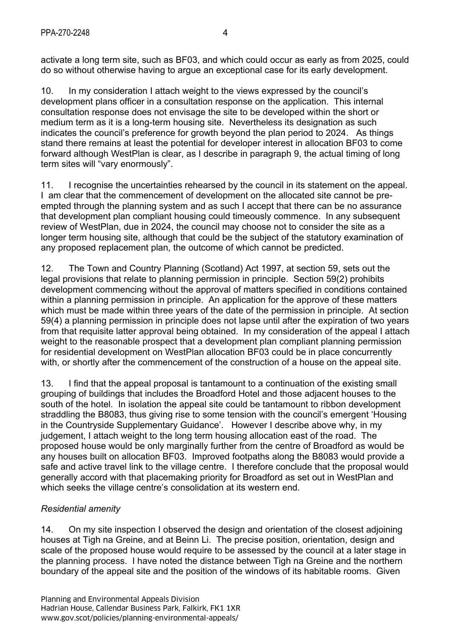activate a long term site, such as BF03, and which could occur as early as from 2025, could do so without otherwise having to argue an exceptional case for its early development.

10. In my consideration I attach weight to the views expressed by the council's development plans officer in a consultation response on the application. This internal consultation response does not envisage the site to be developed within the short or medium term as it is a long-term housing site. Nevertheless its designation as such indicates the council's preference for growth beyond the plan period to 2024. As things stand there remains at least the potential for developer interest in allocation BF03 to come forward although WestPlan is clear, as I describe in paragraph 9, the actual timing of long term sites will "vary enormously".

11. I recognise the uncertainties rehearsed by the council in its statement on the appeal. I am clear that the commencement of development on the allocated site cannot be preempted through the planning system and as such I accept that there can be no assurance that development plan compliant housing could timeously commence. In any subsequent review of WestPlan, due in 2024, the council may choose not to consider the site as a longer term housing site, although that could be the subject of the statutory examination of any proposed replacement plan, the outcome of which cannot be predicted.

12. The Town and Country Planning (Scotland) Act 1997, at section 59, sets out the legal provisions that relate to planning permission in principle. Section 59(2) prohibits development commencing without the approval of matters specified in conditions contained within a planning permission in principle. An application for the approve of these matters which must be made within three years of the date of the permission in principle. At section 59(4) a planning permission in principle does not lapse until after the expiration of two years from that requisite latter approval being obtained. In my consideration of the appeal I attach weight to the reasonable prospect that a development plan compliant planning permission for residential development on WestPlan allocation BF03 could be in place concurrently with, or shortly after the commencement of the construction of a house on the appeal site.

13. I find that the appeal proposal is tantamount to a continuation of the existing small grouping of buildings that includes the Broadford Hotel and those adjacent houses to the south of the hotel. In isolation the appeal site could be tantamount to ribbon development straddling the B8083, thus giving rise to some tension with the council's emergent 'Housing in the Countryside Supplementary Guidance'. However I describe above why, in my judgement, I attach weight to the long term housing allocation east of the road. The proposed house would be only marginally further from the centre of Broadford as would be any houses built on allocation BF03. Improved footpaths along the B8083 would provide a safe and active travel link to the village centre. I therefore conclude that the proposal would generally accord with that placemaking priority for Broadford as set out in WestPlan and which seeks the village centre's consolidation at its western end.

# *Residential amenity*

14. On my site inspection I observed the design and orientation of the closest adjoining houses at Tigh na Greine, and at Beinn Li. The precise position, orientation, design and scale of the proposed house would require to be assessed by the council at a later stage in the planning process. I have noted the distance between Tigh na Greine and the northern boundary of the appeal site and the position of the windows of its habitable rooms. Given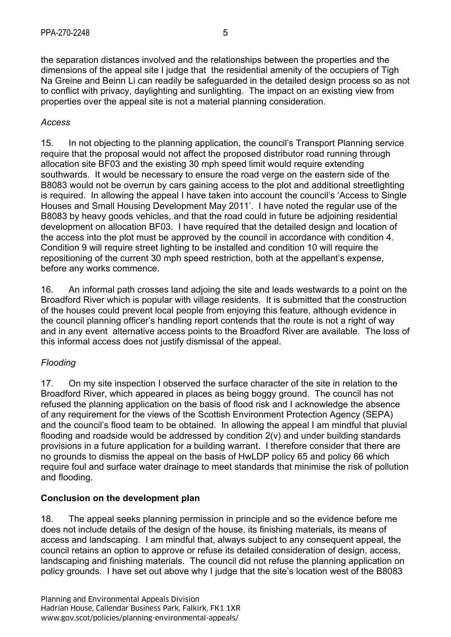the separation distances involved and the relationships between the properties and the dimensions of the appeal site I judge that the residential amenity of the occupiers of Tigh Na Greine and Beinn Li can readily be safeguarded in the detailed design process so as not to conflict with privacy, daylighting and sunlighting. The impact on an existing view from properties over the appeal site is not a material planning consideration.

### *Access*

15. In not objecting to the planning application, the council's Transport Planning service require that the proposal would not affect the proposed distributor road running through allocation site BF03 and the existing 30 mph speed limit would require extending southwards. It would be necessary to ensure the road verge on the eastern side of the B8083 would not be overrun by cars gaining access to the plot and additional streetlighting is required. In allowing the appeal I have taken into account the council's 'Access to Single Houses and Small Housing Development May 2011'. I have noted the regular use of the B8083 by heavy goods vehicles, and that the road could in future be adjoining residential development on allocation BF03. I have required that the detailed design and location of the access into the plot must be approved by the council in accordance with condition 4. Condition 9 will require street lighting to be installed and condition 10 will require the repositioning of the current 30 mph speed restriction, both at the appellant's expense, before any works commence.

16. An informal path crosses land adjoing the site and leads westwards to a point on the Broadford River which is popular with village residents. It is submitted that the construction of the houses could prevent local people from enjoying this feature, although evidence in the council planning officer's handling report contends that the route is not a right of way and in any event alternative access points to the Broadford River are available. The loss of this informal access does not justify dismissal of the appeal.

### *Flooding*

17. On my site inspection I observed the surface character of the site in relation to the Broadford River, which appeared in places as being boggy ground. The council has not refused the planning application on the basis of flood risk and I acknowledge the absence of any requirement for the views of the Scottish Environment Protection Agency (SEPA) and the council's flood team to be obtained. In allowing the appeal I am mindful that pluvial flooding and roadside would be addressed by condition 2(v) and under building standards provisions in a future application for a building warrant. I therefore consider that there are no grounds to dismiss the appeal on the basis of HwLDP policy 65 and policy 66 which require foul and surface water drainage to meet standards that minimise the risk of pollution and flooding.

### **Conclusion on the development plan**

18. The appeal seeks planning permission in principle and so the evidence before me does not include details of the design of the house, its finishing materials, its means of access and landscaping. I am mindful that, always subject to any consequent appeal, the council retains an option to approve or refuse its detailed consideration of design, access, landscaping and finishing materials. The council did not refuse the planning application on policy grounds. I have set out above why I judge that the site's location west of the B8083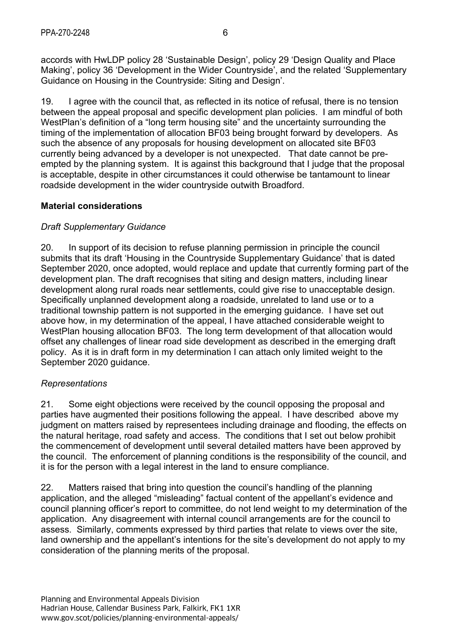accords with HwLDP policy 28 'Sustainable Design', policy 29 'Design Quality and Place Making', policy 36 'Development in the Wider Countryside', and the related 'Supplementary Guidance on Housing in the Countryside: Siting and Design'.

19. I agree with the council that, as reflected in its notice of refusal, there is no tension between the appeal proposal and specific development plan policies. I am mindful of both WestPlan's definition of a "long term housing site" and the uncertainty surrounding the timing of the implementation of allocation BF03 being brought forward by developers. As such the absence of any proposals for housing development on allocated site BF03 currently being advanced by a developer is not unexpected. That date cannot be preempted by the planning system. It is against this background that I judge that the proposal is acceptable, despite in other circumstances it could otherwise be tantamount to linear roadside development in the wider countryside outwith Broadford.

## **Material considerations**

## *Draft Supplementary Guidance*

20. In support of its decision to refuse planning permission in principle the council submits that its draft 'Housing in the Countryside Supplementary Guidance' that is dated September 2020, once adopted, would replace and update that currently forming part of the development plan. The draft recognises that siting and design matters, including linear development along rural roads near settlements, could give rise to unacceptable design. Specifically unplanned development along a roadside, unrelated to land use or to a traditional township pattern is not supported in the emerging guidance. I have set out above how, in my determination of the appeal, I have attached considerable weight to WestPlan housing allocation BF03. The long term development of that allocation would offset any challenges of linear road side development as described in the emerging draft policy. As it is in draft form in my determination I can attach only limited weight to the September 2020 guidance.

### *Representations*

21. Some eight objections were received by the council opposing the proposal and parties have augmented their positions following the appeal. I have described above my judgment on matters raised by representees including drainage and flooding, the effects on the natural heritage, road safety and access. The conditions that I set out below prohibit the commencement of development until several detailed matters have been approved by the council. The enforcement of planning conditions is the responsibility of the council, and it is for the person with a legal interest in the land to ensure compliance.

22. Matters raised that bring into question the council's handling of the planning application, and the alleged "misleading" factual content of the appellant's evidence and council planning officer's report to committee, do not lend weight to my determination of the application. Any disagreement with internal council arrangements are for the council to assess. Similarly, comments expressed by third parties that relate to views over the site, land ownership and the appellant's intentions for the site's development do not apply to my consideration of the planning merits of the proposal.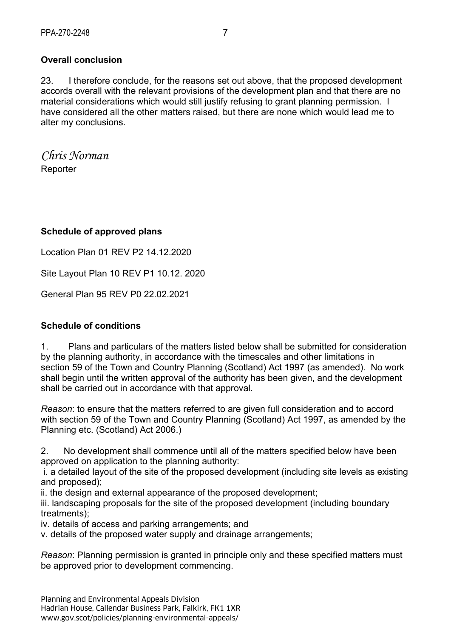## **Overall conclusion**

23. I therefore conclude, for the reasons set out above, that the proposed development accords overall with the relevant provisions of the development plan and that there are no material considerations which would still justify refusing to grant planning permission.I have considered all the other matters raised, but there are none which would lead me to alter my conclusions.

*Chris Norman*  **Reporter** 

### **Schedule of approved plans**

Location Plan 01 REV P2 14.12.2020

Site Layout Plan 10 REV P1 10.12. 2020

General Plan 95 REV P0 22.02.2021

### **Schedule of conditions**

1. Plans and particulars of the matters listed below shall be submitted for consideration by the planning authority, in accordance with the timescales and other limitations in section 59 of the Town and Country Planning (Scotland) Act 1997 (as amended). No work shall begin until the written approval of the authority has been given, and the development shall be carried out in accordance with that approval.

*Reason*: to ensure that the matters referred to are given full consideration and to accord with section 59 of the Town and Country Planning (Scotland) Act 1997, as amended by the Planning etc. (Scotland) Act 2006.)

2. No development shall commence until all of the matters specified below have been approved on application to the planning authority:

 i. a detailed layout of the site of the proposed development (including site levels as existing and proposed);

ii. the design and external appearance of the proposed development;

iii. landscaping proposals for the site of the proposed development (including boundary treatments);

iv. details of access and parking arrangements; and

v. details of the proposed water supply and drainage arrangements;

*Reason*: Planning permission is granted in principle only and these specified matters must be approved prior to development commencing.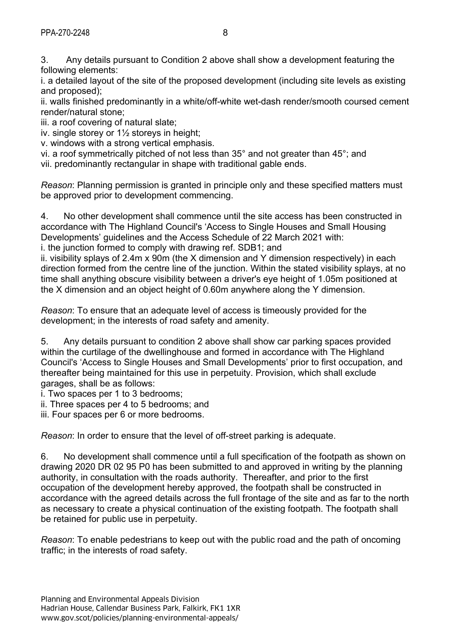3. Any details pursuant to Condition 2 above shall show a development featuring the following elements:

i. a detailed layout of the site of the proposed development (including site levels as existing and proposed);

ii. walls finished predominantly in a white/off-white wet-dash render/smooth coursed cement render/natural stone;

- iii. a roof covering of natural slate;
- iv. single storey or 1½ storeys in height;

v. windows with a strong vertical emphasis.

vi. a roof symmetrically pitched of not less than 35° and not greater than 45°; and

vii. predominantly rectangular in shape with traditional gable ends.

*Reason*: Planning permission is granted in principle only and these specified matters must be approved prior to development commencing.

4. No other development shall commence until the site access has been constructed in accordance with The Highland Council's 'Access to Single Houses and Small Housing Developments' guidelines and the Access Schedule of 22 March 2021 with: i. the junction formed to comply with drawing ref. SDB1; and

ii. visibility splays of 2.4m x 90m (the X dimension and Y dimension respectively) in each direction formed from the centre line of the junction. Within the stated visibility splays, at no time shall anything obscure visibility between a driver's eye height of 1.05m positioned at the X dimension and an object height of 0.60m anywhere along the Y dimension.

*Reason*: To ensure that an adequate level of access is timeously provided for the development; in the interests of road safety and amenity.

5. Any details pursuant to condition 2 above shall show car parking spaces provided within the curtilage of the dwellinghouse and formed in accordance with The Highland Council's 'Access to Single Houses and Small Developments' prior to first occupation, and thereafter being maintained for this use in perpetuity. Provision, which shall exclude garages, shall be as follows:

i. Two spaces per 1 to 3 bedrooms;

ii. Three spaces per 4 to 5 bedrooms; and

iii. Four spaces per 6 or more bedrooms.

*Reason*: In order to ensure that the level of off-street parking is adequate.

6. No development shall commence until a full specification of the footpath as shown on drawing 2020 DR 02 95 P0 has been submitted to and approved in writing by the planning authority, in consultation with the roads authority. Thereafter, and prior to the first occupation of the development hereby approved, the footpath shall be constructed in accordance with the agreed details across the full frontage of the site and as far to the north as necessary to create a physical continuation of the existing footpath. The footpath shall be retained for public use in perpetuity.

*Reason*: To enable pedestrians to keep out with the public road and the path of oncoming traffic; in the interests of road safety.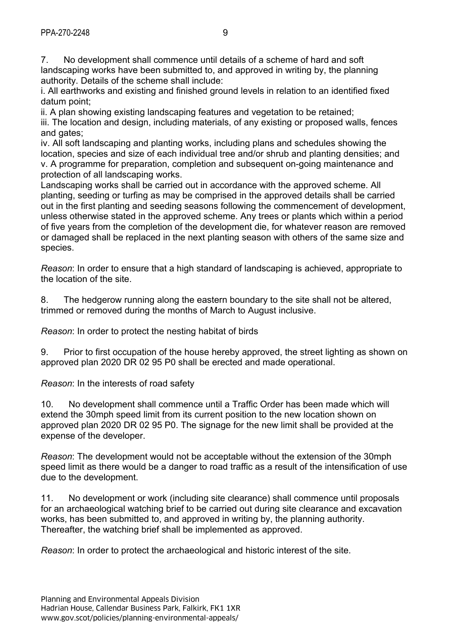7. No development shall commence until details of a scheme of hard and soft landscaping works have been submitted to, and approved in writing by, the planning authority. Details of the scheme shall include:

i. All earthworks and existing and finished ground levels in relation to an identified fixed datum point;

ii. A plan showing existing landscaping features and vegetation to be retained;

iii. The location and design, including materials, of any existing or proposed walls, fences and gates:

iv. All soft landscaping and planting works, including plans and schedules showing the location, species and size of each individual tree and/or shrub and planting densities; and v. A programme for preparation, completion and subsequent on-going maintenance and protection of all landscaping works.

Landscaping works shall be carried out in accordance with the approved scheme. All planting, seeding or turfing as may be comprised in the approved details shall be carried out in the first planting and seeding seasons following the commencement of development, unless otherwise stated in the approved scheme. Any trees or plants which within a period of five years from the completion of the development die, for whatever reason are removed or damaged shall be replaced in the next planting season with others of the same size and species.

*Reason*: In order to ensure that a high standard of landscaping is achieved, appropriate to the location of the site.

8. The hedgerow running along the eastern boundary to the site shall not be altered, trimmed or removed during the months of March to August inclusive.

*Reason*: In order to protect the nesting habitat of birds

9. Prior to first occupation of the house hereby approved, the street lighting as shown on approved plan 2020 DR 02 95 P0 shall be erected and made operational.

*Reason*: In the interests of road safety

10. No development shall commence until a Traffic Order has been made which will extend the 30mph speed limit from its current position to the new location shown on approved plan 2020 DR 02 95 P0. The signage for the new limit shall be provided at the expense of the developer.

*Reason*: The development would not be acceptable without the extension of the 30mph speed limit as there would be a danger to road traffic as a result of the intensification of use due to the development.

11. No development or work (including site clearance) shall commence until proposals for an archaeological watching brief to be carried out during site clearance and excavation works, has been submitted to, and approved in writing by, the planning authority. Thereafter, the watching brief shall be implemented as approved.

*Reason*: In order to protect the archaeological and historic interest of the site.